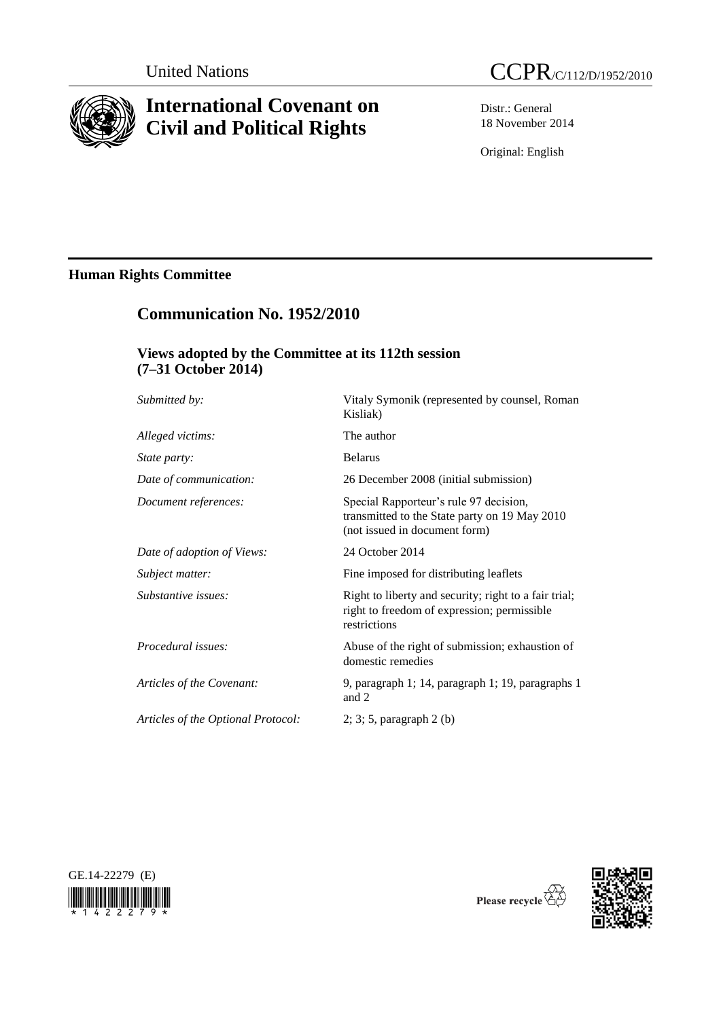

# **International Covenant on Civil and Political Rights**



Distr.: General 18 November 2014

Original: English

# **Human Rights Committee**

# **Communication No. 1952/2010**

## **Views adopted by the Committee at its 112th session (7–31 October 2014)**

| Submitted by:                      | Vitaly Symonik (represented by counsel, Roman<br>Kisliak)                                                                |
|------------------------------------|--------------------------------------------------------------------------------------------------------------------------|
| Alleged victims:                   | The author                                                                                                               |
| State party:                       | <b>Belarus</b>                                                                                                           |
| Date of communication:             | 26 December 2008 (initial submission)                                                                                    |
| Document references:               | Special Rapporteur's rule 97 decision,<br>transmitted to the State party on 19 May 2010<br>(not issued in document form) |
| Date of adoption of Views:         | 24 October 2014                                                                                                          |
| Subject matter:                    | Fine imposed for distributing leaflets                                                                                   |
| Substantive issues:                | Right to liberty and security; right to a fair trial;<br>right to freedom of expression; permissible<br>restrictions     |
| Procedural issues:                 | Abuse of the right of submission; exhaustion of<br>domestic remedies                                                     |
| Articles of the Covenant:          | 9, paragraph 1; 14, paragraph 1; 19, paragraphs 1<br>and 2                                                               |
| Articles of the Optional Protocol: | $2; 3; 5$ , paragraph $2(b)$                                                                                             |





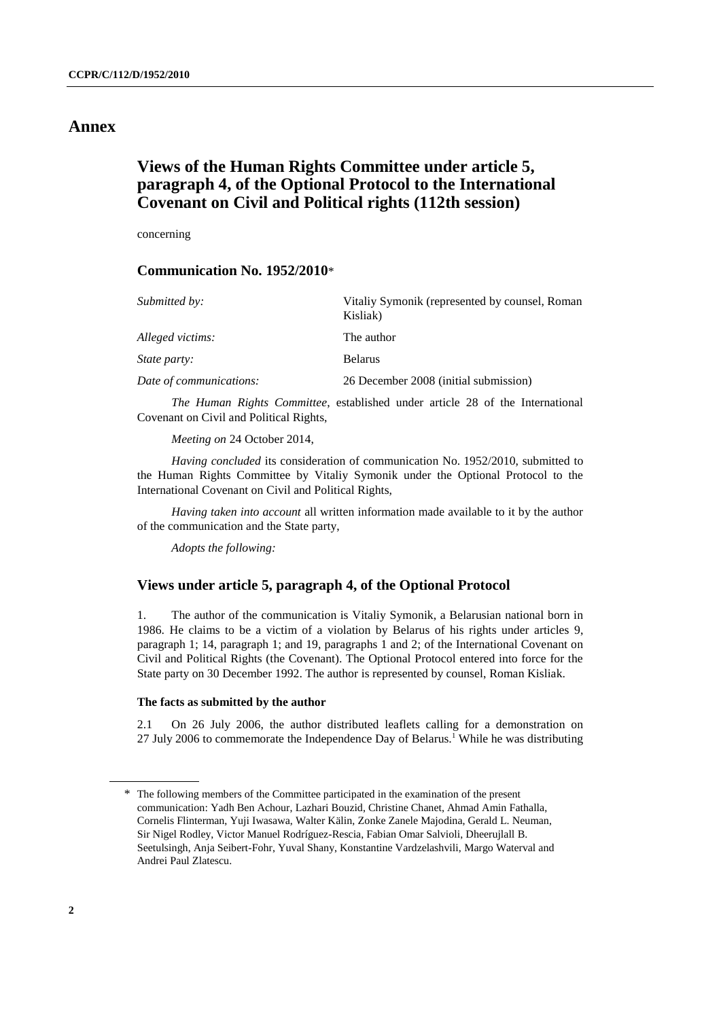## **Annex**

## **Views of the Human Rights Committee under article 5, paragraph 4, of the Optional Protocol to the International Covenant on Civil and Political rights (112th session)**

concerning

## **Communication No. 1952/2010**\*

| Submitted by:           | Vitaliy Symonik (represented by counsel, Roman<br>Kisliak) |
|-------------------------|------------------------------------------------------------|
| Alleged victims:        | The author                                                 |
| <i>State party:</i>     | <b>Belarus</b>                                             |
| Date of communications: | 26 December 2008 (initial submission)                      |

*The Human Rights Committee*, established under article 28 of the International Covenant on Civil and Political Rights,

*Meeting on* 24 October 2014,

*Having concluded* its consideration of communication No. 1952/2010, submitted to the Human Rights Committee by Vitaliy Symonik under the Optional Protocol to the International Covenant on Civil and Political Rights,

*Having taken into account* all written information made available to it by the author of the communication and the State party,

*Adopts the following:*

### **Views under article 5, paragraph 4, of the Optional Protocol**

1. The author of the communication is Vitaliy Symonik, a Belarusian national born in 1986. He claims to be a victim of a violation by Belarus of his rights under articles 9, paragraph 1; 14, paragraph 1; and 19, paragraphs 1 and 2; of the International Covenant on Civil and Political Rights (the Covenant). The Optional Protocol entered into force for the State party on 30 December 1992. The author is represented by counsel, Roman Kisliak.

#### **The facts as submitted by the author**

2.1 On 26 July 2006, the author distributed leaflets calling for a demonstration on 27 July 2006 to commemorate the Independence Day of Belarus. <sup>1</sup> While he was distributing

<sup>\*</sup> The following members of the Committee participated in the examination of the present communication: Yadh Ben Achour, Lazhari Bouzid, Christine Chanet, Ahmad Amin Fathalla, Cornelis Flinterman, Yuji Iwasawa, Walter Kälin, Zonke Zanele Majodina, Gerald L. Neuman, Sir Nigel Rodley, Victor Manuel Rodríguez-Rescia, Fabian Omar Salvioli, Dheerujlall B. Seetulsingh, Anja Seibert-Fohr, Yuval Shany, Konstantine Vardzelashvili, Margo Waterval and Andrei Paul Zlatescu.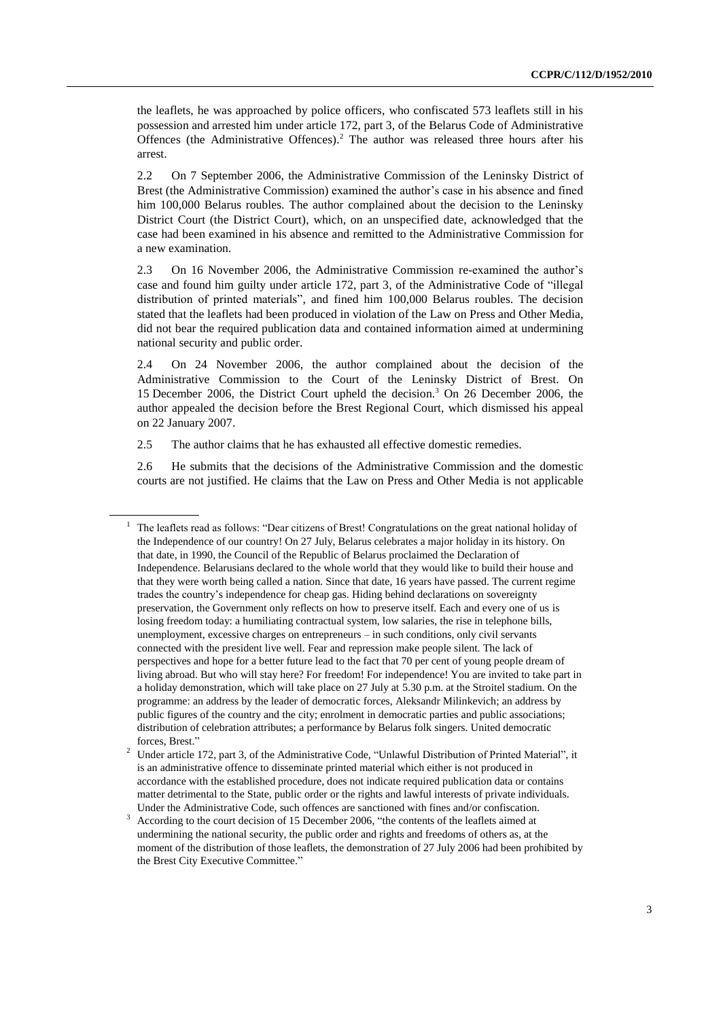the leaflets, he was approached by police officers, who confiscated 573 leaflets still in his possession and arrested him under article 172, part 3, of the Belarus Code of Administrative Offences (the Administrative Offences). <sup>2</sup> The author was released three hours after his arrest.

2.2 On 7 September 2006, the Administrative Commission of the Leninsky District of Brest (the Administrative Commission) examined the author's case in his absence and fined him 100,000 Belarus roubles. The author complained about the decision to the Leninsky District Court (the District Court), which, on an unspecified date, acknowledged that the case had been examined in his absence and remitted to the Administrative Commission for a new examination.

2.3 On 16 November 2006, the Administrative Commission re-examined the author's case and found him guilty under article 172, part 3, of the Administrative Code of "illegal distribution of printed materials", and fined him 100,000 Belarus roubles. The decision stated that the leaflets had been produced in violation of the Law on Press and Other Media, did not bear the required publication data and contained information aimed at undermining national security and public order.

2.4 On 24 November 2006, the author complained about the decision of the Administrative Commission to the Court of the Leninsky District of Brest. On 15 December 2006, the District Court upheld the decision.<sup>3</sup> On 26 December 2006, the author appealed the decision before the Brest Regional Court, which dismissed his appeal on 22 January 2007.

2.5 The author claims that he has exhausted all effective domestic remedies.

2.6 He submits that the decisions of the Administrative Commission and the domestic courts are not justified. He claims that the Law on Press and Other Media is not applicable

<sup>&</sup>lt;sup>1</sup> The leaflets read as follows: "Dear citizens of Brest! Congratulations on the great national holiday of the Independence of our country! On 27 July, Belarus celebrates a major holiday in its history. On that date, in 1990, the Council of the Republic of Belarus proclaimed the Declaration of Independence. Belarusians declared to the whole world that they would like to build their house and that they were worth being called a nation. Since that date, 16 years have passed. The current regime trades the country's independence for cheap gas. Hiding behind declarations on sovereignty preservation, the Government only reflects on how to preserve itself. Each and every one of us is losing freedom today: a humiliating contractual system, low salaries, the rise in telephone bills, unemployment, excessive charges on entrepreneurs – in such conditions, only civil servants connected with the president live well. Fear and repression make people silent. The lack of perspectives and hope for a better future lead to the fact that 70 per cent of young people dream of living abroad. But who will stay here? For freedom! For independence! You are invited to take part in a holiday demonstration, which will take place on 27 July at 5.30 p.m. at the Stroitel stadium. On the programme: an address by the leader of democratic forces, Aleksandr Milinkevich; an address by public figures of the country and the city; enrolment in democratic parties and public associations; distribution of celebration attributes; a performance by Belarus folk singers. United democratic forces, Brest."

<sup>2</sup> Under article 172, part 3, of the Administrative Code, "Unlawful Distribution of Printed Material", it is an administrative offence to disseminate printed material which either is not produced in accordance with the established procedure, does not indicate required publication data or contains matter detrimental to the State, public order or the rights and lawful interests of private individuals. Under the Administrative Code, such offences are sanctioned with fines and/or confiscation.

<sup>&</sup>lt;sup>3</sup> According to the court decision of 15 December 2006, "the contents of the leaflets aimed at undermining the national security, the public order and rights and freedoms of others as, at the moment of the distribution of those leaflets, the demonstration of 27 July 2006 had been prohibited by the Brest City Executive Committee."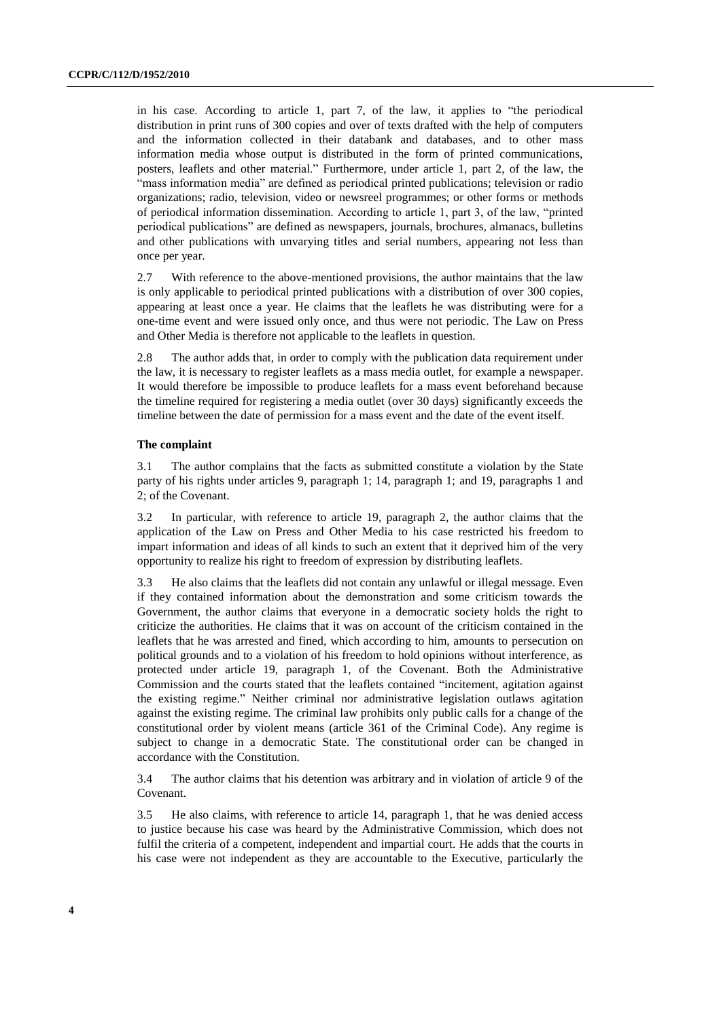in his case. According to article 1, part 7, of the law, it applies to "the periodical distribution in print runs of 300 copies and over of texts drafted with the help of computers and the information collected in their databank and databases, and to other mass information media whose output is distributed in the form of printed communications, posters, leaflets and other material." Furthermore, under article 1, part 2, of the law, the "mass information media" are defined as periodical printed publications; television or radio organizations; radio, television, video or newsreel programmes; or other forms or methods of periodical information dissemination. According to article 1, part 3, of the law, "printed periodical publications" are defined as newspapers, journals, brochures, almanacs, bulletins and other publications with unvarying titles and serial numbers, appearing not less than once per year.

2.7 With reference to the above-mentioned provisions, the author maintains that the law is only applicable to periodical printed publications with a distribution of over 300 copies, appearing at least once a year. He claims that the leaflets he was distributing were for a one-time event and were issued only once, and thus were not periodic. The Law on Press and Other Media is therefore not applicable to the leaflets in question.

2.8 The author adds that, in order to comply with the publication data requirement under the law, it is necessary to register leaflets as a mass media outlet, for example a newspaper. It would therefore be impossible to produce leaflets for a mass event beforehand because the timeline required for registering a media outlet (over 30 days) significantly exceeds the timeline between the date of permission for a mass event and the date of the event itself.

#### **The complaint**

3.1 The author complains that the facts as submitted constitute a violation by the State party of his rights under articles 9, paragraph 1; 14, paragraph 1; and 19, paragraphs 1 and 2; of the Covenant.

3.2 In particular, with reference to article 19, paragraph 2, the author claims that the application of the Law on Press and Other Media to his case restricted his freedom to impart information and ideas of all kinds to such an extent that it deprived him of the very opportunity to realize his right to freedom of expression by distributing leaflets.

3.3 He also claims that the leaflets did not contain any unlawful or illegal message. Even if they contained information about the demonstration and some criticism towards the Government, the author claims that everyone in a democratic society holds the right to criticize the authorities. He claims that it was on account of the criticism contained in the leaflets that he was arrested and fined, which according to him, amounts to persecution on political grounds and to a violation of his freedom to hold opinions without interference, as protected under article 19, paragraph 1, of the Covenant. Both the Administrative Commission and the courts stated that the leaflets contained "incitement, agitation against the existing regime." Neither criminal nor administrative legislation outlaws agitation against the existing regime. The criminal law prohibits only public calls for a change of the constitutional order by violent means (article 361 of the Criminal Code). Any regime is subject to change in a democratic State. The constitutional order can be changed in accordance with the Constitution.

3.4 The author claims that his detention was arbitrary and in violation of article 9 of the Covenant.

3.5 He also claims, with reference to article 14, paragraph 1, that he was denied access to justice because his case was heard by the Administrative Commission, which does not fulfil the criteria of a competent, independent and impartial court. He adds that the courts in his case were not independent as they are accountable to the Executive, particularly the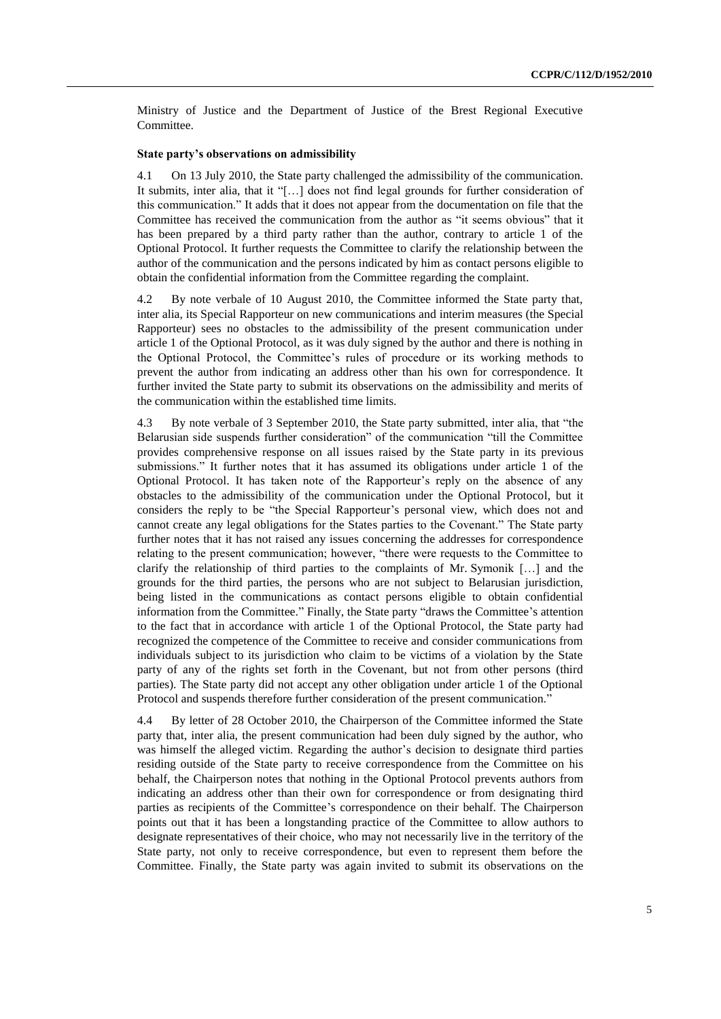Ministry of Justice and the Department of Justice of the Brest Regional Executive Committee.

#### **State party's observations on admissibility**

4.1 On 13 July 2010, the State party challenged the admissibility of the communication. It submits, inter alia, that it "[…] does not find legal grounds for further consideration of this communication." It adds that it does not appear from the documentation on file that the Committee has received the communication from the author as "it seems obvious" that it has been prepared by a third party rather than the author, contrary to article 1 of the Optional Protocol. It further requests the Committee to clarify the relationship between the author of the communication and the persons indicated by him as contact persons eligible to obtain the confidential information from the Committee regarding the complaint.

4.2 By note verbale of 10 August 2010, the Committee informed the State party that, inter alia, its Special Rapporteur on new communications and interim measures (the Special Rapporteur) sees no obstacles to the admissibility of the present communication under article 1 of the Optional Protocol, as it was duly signed by the author and there is nothing in the Optional Protocol, the Committee's rules of procedure or its working methods to prevent the author from indicating an address other than his own for correspondence. It further invited the State party to submit its observations on the admissibility and merits of the communication within the established time limits.

4.3 By note verbale of 3 September 2010, the State party submitted, inter alia, that "the Belarusian side suspends further consideration" of the communication "till the Committee provides comprehensive response on all issues raised by the State party in its previous submissions." It further notes that it has assumed its obligations under article 1 of the Optional Protocol. It has taken note of the Rapporteur's reply on the absence of any obstacles to the admissibility of the communication under the Optional Protocol, but it considers the reply to be "the Special Rapporteur's personal view, which does not and cannot create any legal obligations for the States parties to the Covenant." The State party further notes that it has not raised any issues concerning the addresses for correspondence relating to the present communication; however, "there were requests to the Committee to clarify the relationship of third parties to the complaints of Mr. Symonik […] and the grounds for the third parties, the persons who are not subject to Belarusian jurisdiction, being listed in the communications as contact persons eligible to obtain confidential information from the Committee." Finally, the State party "draws the Committee's attention to the fact that in accordance with article 1 of the Optional Protocol, the State party had recognized the competence of the Committee to receive and consider communications from individuals subject to its jurisdiction who claim to be victims of a violation by the State party of any of the rights set forth in the Covenant, but not from other persons (third parties). The State party did not accept any other obligation under article 1 of the Optional Protocol and suspends therefore further consideration of the present communication."

4.4 By letter of 28 October 2010, the Chairperson of the Committee informed the State party that, inter alia, the present communication had been duly signed by the author, who was himself the alleged victim. Regarding the author's decision to designate third parties residing outside of the State party to receive correspondence from the Committee on his behalf, the Chairperson notes that nothing in the Optional Protocol prevents authors from indicating an address other than their own for correspondence or from designating third parties as recipients of the Committee's correspondence on their behalf. The Chairperson points out that it has been a longstanding practice of the Committee to allow authors to designate representatives of their choice, who may not necessarily live in the territory of the State party, not only to receive correspondence, but even to represent them before the Committee. Finally, the State party was again invited to submit its observations on the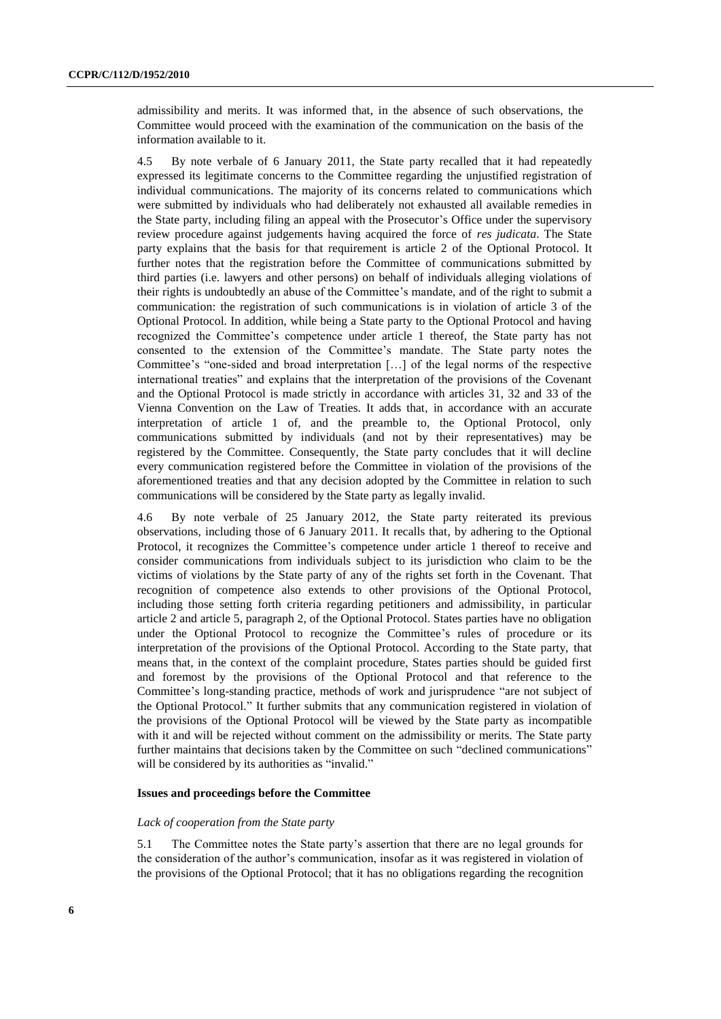admissibility and merits. It was informed that, in the absence of such observations, the Committee would proceed with the examination of the communication on the basis of the information available to it.

4.5 By note verbale of 6 January 2011, the State party recalled that it had repeatedly expressed its legitimate concerns to the Committee regarding the unjustified registration of individual communications. The majority of its concerns related to communications which were submitted by individuals who had deliberately not exhausted all available remedies in the State party, including filing an appeal with the Prosecutor's Office under the supervisory review procedure against judgements having acquired the force of *res judicata*. The State party explains that the basis for that requirement is article 2 of the Optional Protocol. It further notes that the registration before the Committee of communications submitted by third parties (i.e. lawyers and other persons) on behalf of individuals alleging violations of their rights is undoubtedly an abuse of the Committee's mandate, and of the right to submit a communication: the registration of such communications is in violation of article 3 of the Optional Protocol. In addition, while being a State party to the Optional Protocol and having recognized the Committee's competence under article 1 thereof, the State party has not consented to the extension of the Committee's mandate. The State party notes the Committee's "one-sided and broad interpretation […] of the legal norms of the respective international treaties" and explains that the interpretation of the provisions of the Covenant and the Optional Protocol is made strictly in accordance with articles 31, 32 and 33 of the Vienna Convention on the Law of Treaties. It adds that, in accordance with an accurate interpretation of article 1 of, and the preamble to, the Optional Protocol, only communications submitted by individuals (and not by their representatives) may be registered by the Committee. Consequently, the State party concludes that it will decline every communication registered before the Committee in violation of the provisions of the aforementioned treaties and that any decision adopted by the Committee in relation to such communications will be considered by the State party as legally invalid.

4.6 By note verbale of 25 January 2012, the State party reiterated its previous observations, including those of 6 January 2011. It recalls that, by adhering to the Optional Protocol, it recognizes the Committee's competence under article 1 thereof to receive and consider communications from individuals subject to its jurisdiction who claim to be the victims of violations by the State party of any of the rights set forth in the Covenant. That recognition of competence also extends to other provisions of the Optional Protocol, including those setting forth criteria regarding petitioners and admissibility, in particular article 2 and article 5, paragraph 2, of the Optional Protocol. States parties have no obligation under the Optional Protocol to recognize the Committee's rules of procedure or its interpretation of the provisions of the Optional Protocol. According to the State party, that means that, in the context of the complaint procedure, States parties should be guided first and foremost by the provisions of the Optional Protocol and that reference to the Committee's long-standing practice, methods of work and jurisprudence "are not subject of the Optional Protocol." It further submits that any communication registered in violation of the provisions of the Optional Protocol will be viewed by the State party as incompatible with it and will be rejected without comment on the admissibility or merits. The State party further maintains that decisions taken by the Committee on such "declined communications" will be considered by its authorities as "invalid."

#### **Issues and proceedings before the Committee**

#### *Lack of cooperation from the State party*

5.1 The Committee notes the State party's assertion that there are no legal grounds for the consideration of the author's communication, insofar as it was registered in violation of the provisions of the Optional Protocol; that it has no obligations regarding the recognition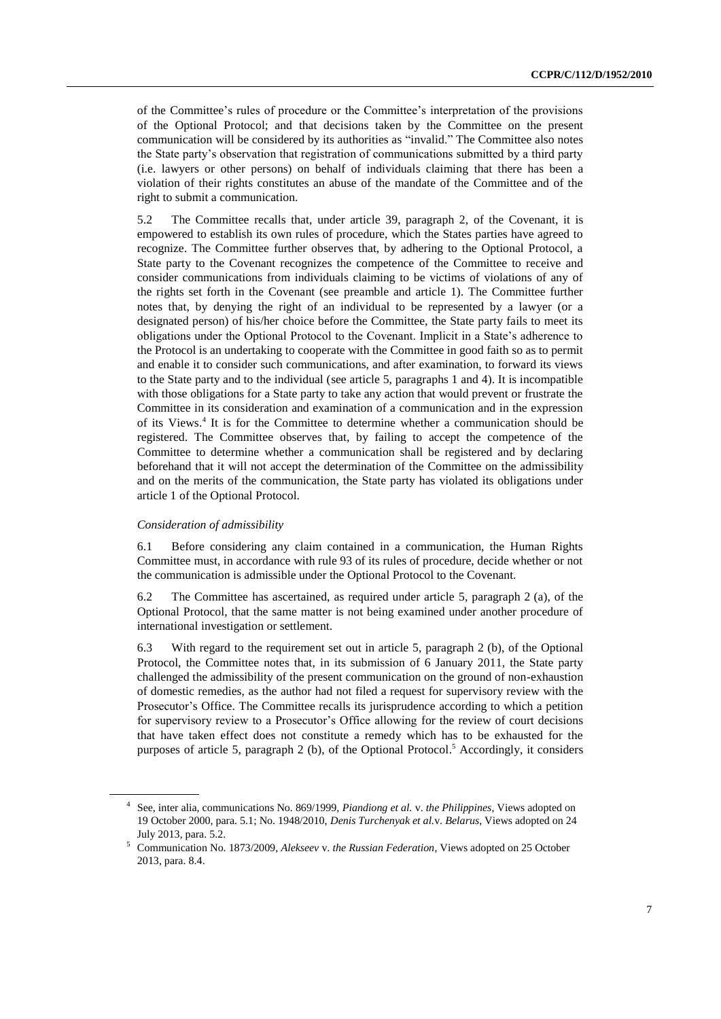of the Committee's rules of procedure or the Committee's interpretation of the provisions of the Optional Protocol; and that decisions taken by the Committee on the present communication will be considered by its authorities as "invalid." The Committee also notes the State party's observation that registration of communications submitted by a third party (i.e. lawyers or other persons) on behalf of individuals claiming that there has been a violation of their rights constitutes an abuse of the mandate of the Committee and of the right to submit a communication.

5.2 The Committee recalls that, under article 39, paragraph 2, of the Covenant, it is empowered to establish its own rules of procedure, which the States parties have agreed to recognize. The Committee further observes that, by adhering to the Optional Protocol, a State party to the Covenant recognizes the competence of the Committee to receive and consider communications from individuals claiming to be victims of violations of any of the rights set forth in the Covenant (see preamble and article 1). The Committee further notes that, by denying the right of an individual to be represented by a lawyer (or a designated person) of his/her choice before the Committee, the State party fails to meet its obligations under the Optional Protocol to the Covenant. Implicit in a State's adherence to the Protocol is an undertaking to cooperate with the Committee in good faith so as to permit and enable it to consider such communications, and after examination, to forward its views to the State party and to the individual (see article 5, paragraphs 1 and 4). It is incompatible with those obligations for a State party to take any action that would prevent or frustrate the Committee in its consideration and examination of a communication and in the expression of its Views.<sup>4</sup> It is for the Committee to determine whether a communication should be registered. The Committee observes that, by failing to accept the competence of the Committee to determine whether a communication shall be registered and by declaring beforehand that it will not accept the determination of the Committee on the admissibility and on the merits of the communication, the State party has violated its obligations under article 1 of the Optional Protocol.

### *Consideration of admissibility*

6.1 Before considering any claim contained in a communication, the Human Rights Committee must, in accordance with rule 93 of its rules of procedure, decide whether or not the communication is admissible under the Optional Protocol to the Covenant.

6.2 The Committee has ascertained, as required under article 5, paragraph 2 (a), of the Optional Protocol, that the same matter is not being examined under another procedure of international investigation or settlement.

6.3 With regard to the requirement set out in article 5, paragraph 2 (b), of the Optional Protocol, the Committee notes that, in its submission of 6 January 2011, the State party challenged the admissibility of the present communication on the ground of non-exhaustion of domestic remedies, as the author had not filed a request for supervisory review with the Prosecutor's Office. The Committee recalls its jurisprudence according to which a petition for supervisory review to a Prosecutor's Office allowing for the review of court decisions that have taken effect does not constitute a remedy which has to be exhausted for the purposes of article 5, paragraph 2 (b), of the Optional Protocol.<sup>5</sup> Accordingly, it considers

<sup>4</sup> See, inter alia, communications No. 869/1999, *Piandiong et al.* v. *the Philippines*, Views adopted on 19 October 2000, para. 5.1; No. 1948/2010, *Denis Turchenyak et al.*v. *Belarus*, Views adopted on 24 July 2013, para. 5.2.

<sup>5</sup> Communication No. 1873/2009, *Alekseev* v. *the Russian Federation*, Views adopted on 25 October 2013, para. 8.4.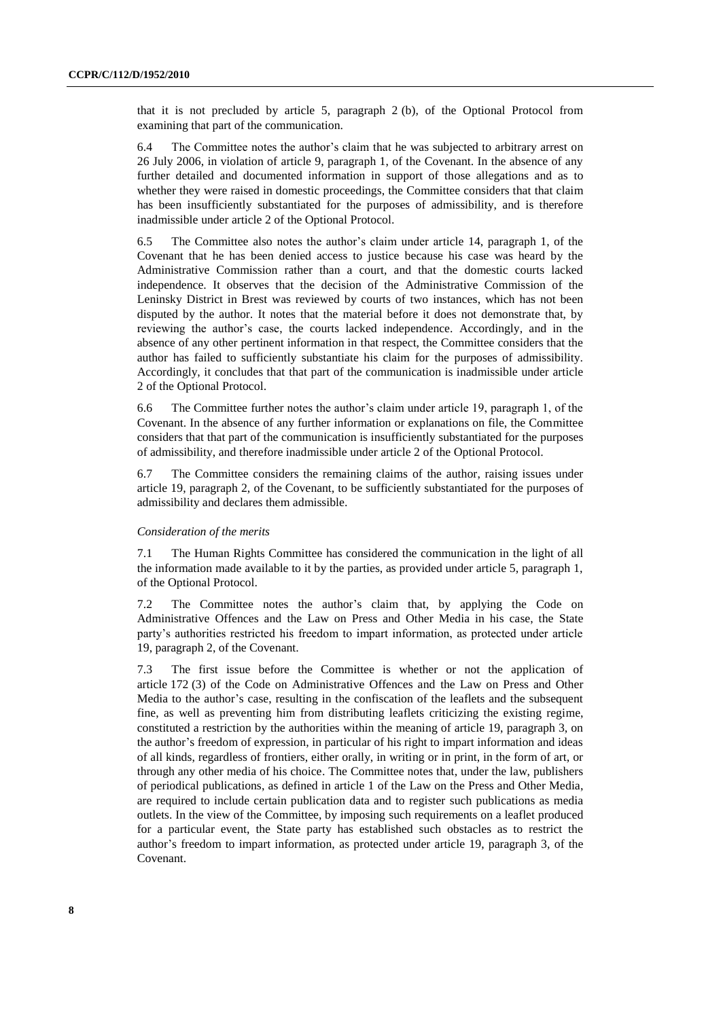that it is not precluded by article 5, paragraph 2 (b), of the Optional Protocol from examining that part of the communication.

6.4 The Committee notes the author's claim that he was subjected to arbitrary arrest on 26 July 2006, in violation of article 9, paragraph 1, of the Covenant. In the absence of any further detailed and documented information in support of those allegations and as to whether they were raised in domestic proceedings, the Committee considers that that claim has been insufficiently substantiated for the purposes of admissibility, and is therefore inadmissible under article 2 of the Optional Protocol.

6.5 The Committee also notes the author's claim under article 14, paragraph 1, of the Covenant that he has been denied access to justice because his case was heard by the Administrative Commission rather than a court, and that the domestic courts lacked independence. It observes that the decision of the Administrative Commission of the Leninsky District in Brest was reviewed by courts of two instances, which has not been disputed by the author. It notes that the material before it does not demonstrate that, by reviewing the author's case, the courts lacked independence. Accordingly, and in the absence of any other pertinent information in that respect, the Committee considers that the author has failed to sufficiently substantiate his claim for the purposes of admissibility. Accordingly, it concludes that that part of the communication is inadmissible under article 2 of the Optional Protocol.

6.6 The Committee further notes the author's claim under article 19, paragraph 1, of the Covenant. In the absence of any further information or explanations on file, the Committee considers that that part of the communication is insufficiently substantiated for the purposes of admissibility, and therefore inadmissible under article 2 of the Optional Protocol.

6.7 The Committee considers the remaining claims of the author, raising issues under article 19, paragraph 2, of the Covenant, to be sufficiently substantiated for the purposes of admissibility and declares them admissible.

#### *Consideration of the merits*

7.1 The Human Rights Committee has considered the communication in the light of all the information made available to it by the parties, as provided under article 5, paragraph 1, of the Optional Protocol.

7.2 The Committee notes the author's claim that, by applying the Code on Administrative Offences and the Law on Press and Other Media in his case, the State party's authorities restricted his freedom to impart information, as protected under article 19, paragraph 2, of the Covenant.

7.3 The first issue before the Committee is whether or not the application of article 172 (3) of the Code on Administrative Offences and the Law on Press and Other Media to the author's case, resulting in the confiscation of the leaflets and the subsequent fine, as well as preventing him from distributing leaflets criticizing the existing regime, constituted a restriction by the authorities within the meaning of article 19, paragraph 3, on the author's freedom of expression, in particular of his right to impart information and ideas of all kinds, regardless of frontiers, either orally, in writing or in print, in the form of art, or through any other media of his choice. The Committee notes that, under the law, publishers of periodical publications, as defined in article 1 of the Law on the Press and Other Media, are required to include certain publication data and to register such publications as media outlets. In the view of the Committee, by imposing such requirements on a leaflet produced for a particular event, the State party has established such obstacles as to restrict the author's freedom to impart information, as protected under article 19, paragraph 3, of the Covenant.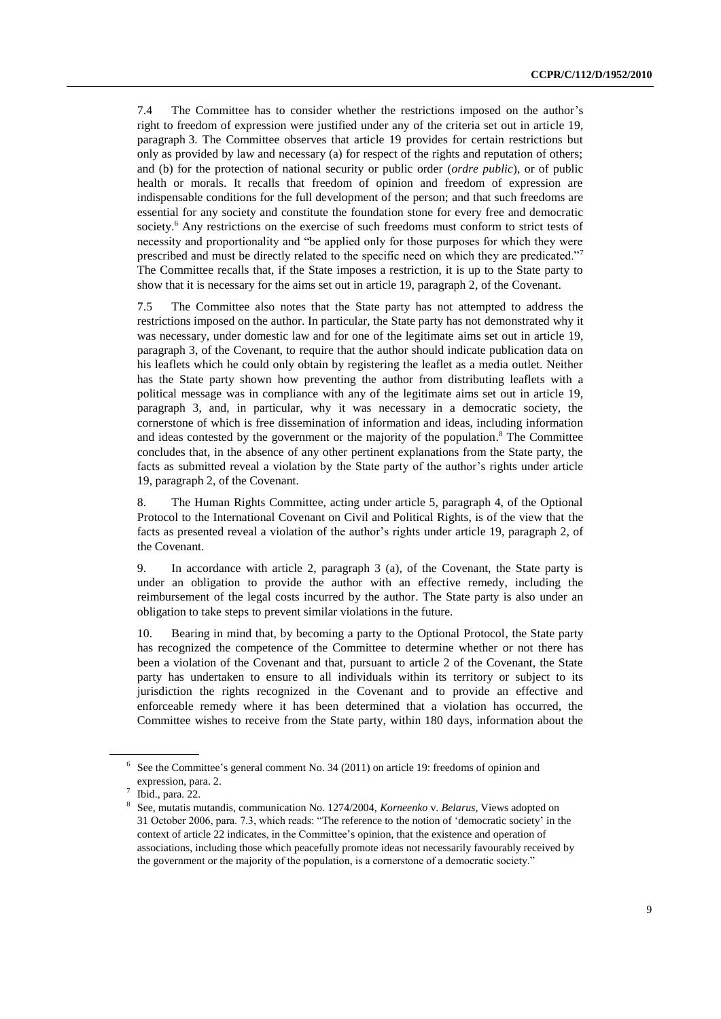7.4 The Committee has to consider whether the restrictions imposed on the author's right to freedom of expression were justified under any of the criteria set out in article 19, paragraph 3. The Committee observes that article 19 provides for certain restrictions but only as provided by law and necessary (a) for respect of the rights and reputation of others; and (b) for the protection of national security or public order (*ordre public*), or of public health or morals. It recalls that freedom of opinion and freedom of expression are indispensable conditions for the full development of the person; and that such freedoms are essential for any society and constitute the foundation stone for every free and democratic society.<sup>6</sup> Any restrictions on the exercise of such freedoms must conform to strict tests of necessity and proportionality and "be applied only for those purposes for which they were prescribed and must be directly related to the specific need on which they are predicated."<sup>7</sup> The Committee recalls that, if the State imposes a restriction, it is up to the State party to show that it is necessary for the aims set out in article 19, paragraph 2, of the Covenant.

7.5 The Committee also notes that the State party has not attempted to address the restrictions imposed on the author. In particular, the State party has not demonstrated why it was necessary, under domestic law and for one of the legitimate aims set out in article 19, paragraph 3, of the Covenant, to require that the author should indicate publication data on his leaflets which he could only obtain by registering the leaflet as a media outlet. Neither has the State party shown how preventing the author from distributing leaflets with a political message was in compliance with any of the legitimate aims set out in article 19, paragraph 3, and, in particular, why it was necessary in a democratic society, the cornerstone of which is free dissemination of information and ideas, including information and ideas contested by the government or the majority of the population. <sup>8</sup> The Committee concludes that, in the absence of any other pertinent explanations from the State party, the facts as submitted reveal a violation by the State party of the author's rights under article 19, paragraph 2, of the Covenant.

8. The Human Rights Committee, acting under article 5, paragraph 4, of the Optional Protocol to the International Covenant on Civil and Political Rights, is of the view that the facts as presented reveal a violation of the author's rights under article 19, paragraph 2, of the Covenant.

9. In accordance with article 2, paragraph 3 (a), of the Covenant, the State party is under an obligation to provide the author with an effective remedy, including the reimbursement of the legal costs incurred by the author. The State party is also under an obligation to take steps to prevent similar violations in the future.

10. Bearing in mind that, by becoming a party to the Optional Protocol, the State party has recognized the competence of the Committee to determine whether or not there has been a violation of the Covenant and that, pursuant to article 2 of the Covenant, the State party has undertaken to ensure to all individuals within its territory or subject to its jurisdiction the rights recognized in the Covenant and to provide an effective and enforceable remedy where it has been determined that a violation has occurred, the Committee wishes to receive from the State party, within 180 days, information about the

<sup>6</sup> See the Committee's general comment No. 34 (2011) on article 19: freedoms of opinion and expression, para. 2.

<sup>7</sup> Ibid., para. 22.

<sup>8</sup> See, mutatis mutandis, communication No. 1274/2004, *Korneenko* v. *Belarus*, Views adopted on 31 October 2006, para. 7.3, which reads: "The reference to the notion of ʻdemocratic society' in the context of article 22 indicates, in the Committee's opinion, that the existence and operation of associations, including those which peacefully promote ideas not necessarily favourably received by the government or the majority of the population, is a cornerstone of a democratic society."